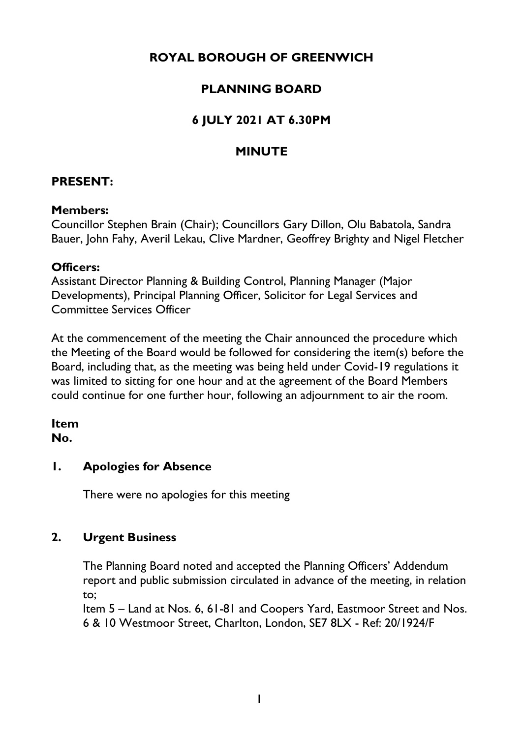## **ROYAL BOROUGH OF GREENWICH**

## **PLANNING BOARD**

## **6 JULY 2021 AT 6.30PM**

## **MINUTE**

#### **PRESENT:**

#### **Members:**

Councillor Stephen Brain (Chair); Councillors Gary Dillon, Olu Babatola, Sandra Bauer, John Fahy, Averil Lekau, Clive Mardner, Geoffrey Brighty and Nigel Fletcher

#### **Officers:**

Assistant Director Planning & Building Control, Planning Manager (Major Developments), Principal Planning Officer, Solicitor for Legal Services and Committee Services Officer

At the commencement of the meeting the Chair announced the procedure which the Meeting of the Board would be followed for considering the item(s) before the Board, including that, as the meeting was being held under Covid-19 regulations it was limited to sitting for one hour and at the agreement of the Board Members could continue for one further hour, following an adjournment to air the room.

# **Item**

**No.**

#### **1. Apologies for Absence**

There were no apologies for this meeting

## **2. Urgent Business**

The Planning Board noted and accepted the Planning Officers' Addendum report and public submission circulated in advance of the meeting, in relation to;

Item 5 – Land at Nos. 6, 61-81 and Coopers Yard, Eastmoor Street and Nos. 6 & 10 Westmoor Street, Charlton, London, SE7 8LX - Ref: 20/1924/F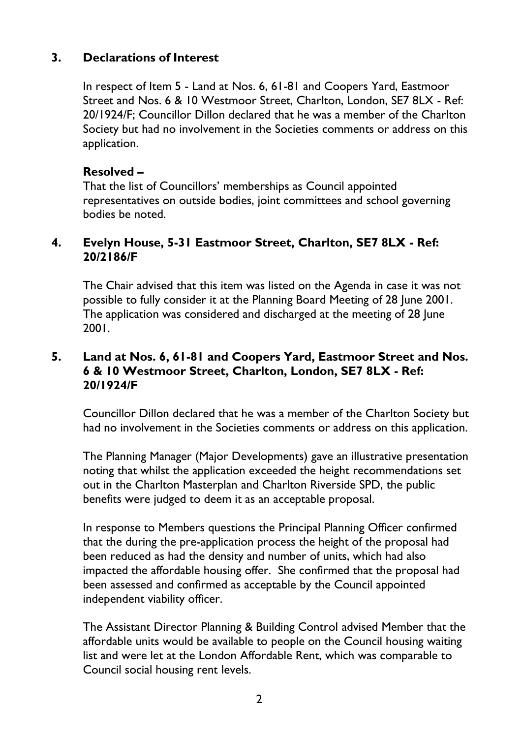#### **3. Declarations of Interest**

In respect of Item 5 - Land at Nos. 6, 61-81 and Coopers Yard, Eastmoor Street and Nos. 6 & 10 Westmoor Street, Charlton, London, SE7 8LX - Ref: 20/1924/F; Councillor Dillon declared that he was a member of the Charlton Society but had no involvement in the Societies comments or address on this application.

#### **Resolved –**

That the list of Councillors' memberships as Council appointed representatives on outside bodies, joint committees and school governing bodies be noted.

#### **4. Evelyn House, 5-31 Eastmoor Street, Charlton, SE7 8LX - Ref: 20/2186/F**

The Chair advised that this item was listed on the Agenda in case it was not possible to fully consider it at the Planning Board Meeting of 28 June 2001. The application was considered and discharged at the meeting of 28 June 2001.

#### **5. Land at Nos. 6, 61-81 and Coopers Yard, Eastmoor Street and Nos. 6 & 10 Westmoor Street, Charlton, London, SE7 8LX - Ref: 20/1924/F**

Councillor Dillon declared that he was a member of the Charlton Society but had no involvement in the Societies comments or address on this application.

The Planning Manager (Major Developments) gave an illustrative presentation noting that whilst the application exceeded the height recommendations set out in the Charlton Masterplan and Charlton Riverside SPD, the public benefits were judged to deem it as an acceptable proposal.

In response to Members questions the Principal Planning Officer confirmed that the during the pre-application process the height of the proposal had been reduced as had the density and number of units, which had also impacted the affordable housing offer. She confirmed that the proposal had been assessed and confirmed as acceptable by the Council appointed independent viability officer.

The Assistant Director Planning & Building Control advised Member that the affordable units would be available to people on the Council housing waiting list and were let at the London Affordable Rent, which was comparable to Council social housing rent levels.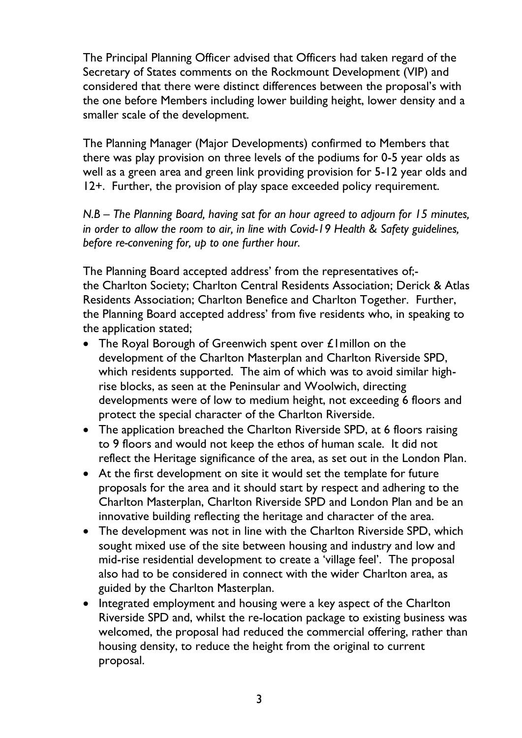The Principal Planning Officer advised that Officers had taken regard of the Secretary of States comments on the Rockmount Development (VIP) and considered that there were distinct differences between the proposal's with the one before Members including lower building height, lower density and a smaller scale of the development.

The Planning Manager (Major Developments) confirmed to Members that there was play provision on three levels of the podiums for 0-5 year olds as well as a green area and green link providing provision for 5-12 year olds and 12+. Further, the provision of play space exceeded policy requirement.

*N.B – The Planning Board, having sat for an hour agreed to adjourn for 15 minutes, in order to allow the room to air, in line with Covid-19 Health & Safety guidelines, before re-convening for, up to one further hour.*

The Planning Board accepted address' from the representatives of; the Charlton Society; Charlton Central Residents Association; Derick & Atlas Residents Association; Charlton Benefice and Charlton Together. Further, the Planning Board accepted address' from five residents who, in speaking to the application stated;

- The Royal Borough of Greenwich spent over £1 millon on the development of the Charlton Masterplan and Charlton Riverside SPD, which residents supported. The aim of which was to avoid similar highrise blocks, as seen at the Peninsular and Woolwich, directing developments were of low to medium height, not exceeding 6 floors and protect the special character of the Charlton Riverside.
- The application breached the Charlton Riverside SPD, at 6 floors raising to 9 floors and would not keep the ethos of human scale. It did not reflect the Heritage significance of the area, as set out in the London Plan.
- At the first development on site it would set the template for future proposals for the area and it should start by respect and adhering to the Charlton Masterplan, Charlton Riverside SPD and London Plan and be an innovative building reflecting the heritage and character of the area.
- The development was not in line with the Charlton Riverside SPD, which sought mixed use of the site between housing and industry and low and mid-rise residential development to create a 'village feel'. The proposal also had to be considered in connect with the wider Charlton area, as guided by the Charlton Masterplan.
- Integrated employment and housing were a key aspect of the Charlton Riverside SPD and, whilst the re-location package to existing business was welcomed, the proposal had reduced the commercial offering, rather than housing density, to reduce the height from the original to current proposal.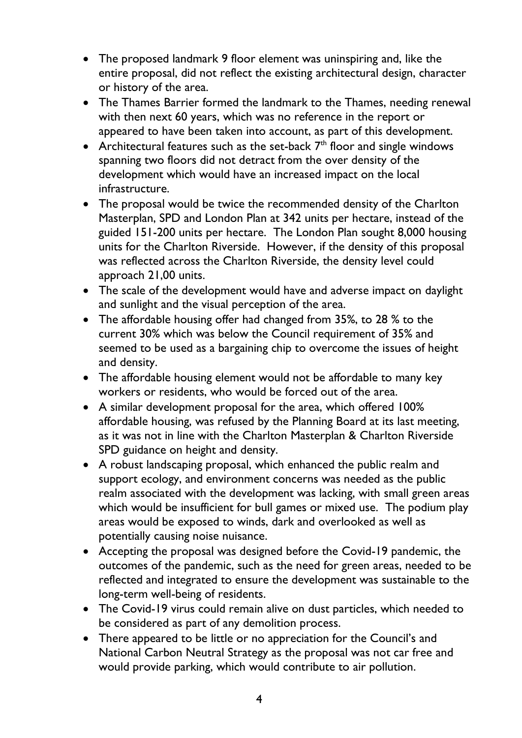- The proposed landmark 9 floor element was uninspiring and, like the entire proposal, did not reflect the existing architectural design, character or history of the area.
- The Thames Barrier formed the landmark to the Thames, needing renewal with then next 60 years, which was no reference in the report or appeared to have been taken into account, as part of this development.
- Architectural features such as the set-back  $7<sup>th</sup>$  floor and single windows spanning two floors did not detract from the over density of the development which would have an increased impact on the local infrastructure.
- The proposal would be twice the recommended density of the Charlton Masterplan, SPD and London Plan at 342 units per hectare, instead of the guided 151-200 units per hectare. The London Plan sought 8,000 housing units for the Charlton Riverside. However, if the density of this proposal was reflected across the Charlton Riverside, the density level could approach 21,00 units.
- The scale of the development would have and adverse impact on daylight and sunlight and the visual perception of the area.
- The affordable housing offer had changed from 35%, to 28 % to the current 30% which was below the Council requirement of 35% and seemed to be used as a bargaining chip to overcome the issues of height and density.
- The affordable housing element would not be affordable to many key workers or residents, who would be forced out of the area.
- A similar development proposal for the area, which offered 100% affordable housing, was refused by the Planning Board at its last meeting, as it was not in line with the Charlton Masterplan & Charlton Riverside SPD guidance on height and density.
- A robust landscaping proposal, which enhanced the public realm and support ecology, and environment concerns was needed as the public realm associated with the development was lacking, with small green areas which would be insufficient for bull games or mixed use. The podium play areas would be exposed to winds, dark and overlooked as well as potentially causing noise nuisance.
- Accepting the proposal was designed before the Covid-19 pandemic, the outcomes of the pandemic, such as the need for green areas, needed to be reflected and integrated to ensure the development was sustainable to the long-term well-being of residents.
- The Covid-19 virus could remain alive on dust particles, which needed to be considered as part of any demolition process.
- There appeared to be little or no appreciation for the Council's and National Carbon Neutral Strategy as the proposal was not car free and would provide parking, which would contribute to air pollution.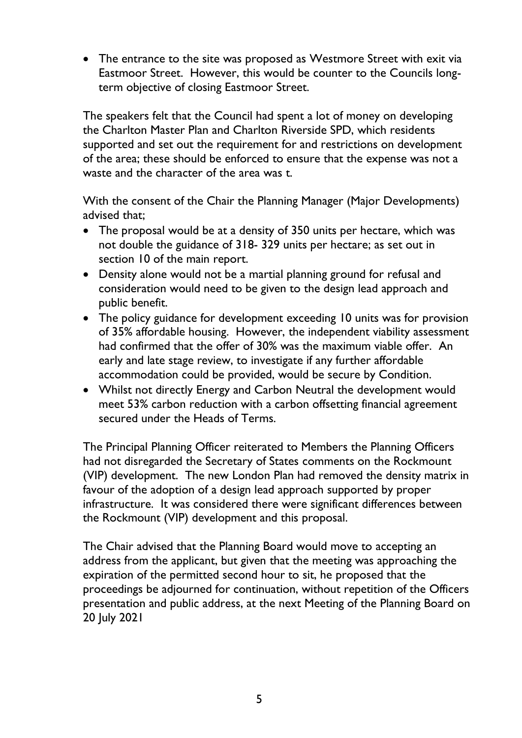• The entrance to the site was proposed as Westmore Street with exit via Eastmoor Street. However, this would be counter to the Councils longterm objective of closing Eastmoor Street.

The speakers felt that the Council had spent a lot of money on developing the Charlton Master Plan and Charlton Riverside SPD, which residents supported and set out the requirement for and restrictions on development of the area; these should be enforced to ensure that the expense was not a waste and the character of the area was t.

With the consent of the Chair the Planning Manager (Major Developments) advised that;

- The proposal would be at a density of 350 units per hectare, which was not double the guidance of 318- 329 units per hectare; as set out in section 10 of the main report.
- Density alone would not be a martial planning ground for refusal and consideration would need to be given to the design lead approach and public benefit.
- The policy guidance for development exceeding 10 units was for provision of 35% affordable housing. However, the independent viability assessment had confirmed that the offer of 30% was the maximum viable offer. An early and late stage review, to investigate if any further affordable accommodation could be provided, would be secure by Condition.
- Whilst not directly Energy and Carbon Neutral the development would meet 53% carbon reduction with a carbon offsetting financial agreement secured under the Heads of Terms.

The Principal Planning Officer reiterated to Members the Planning Officers had not disregarded the Secretary of States comments on the Rockmount (VIP) development. The new London Plan had removed the density matrix in favour of the adoption of a design lead approach supported by proper infrastructure. It was considered there were significant differences between the Rockmount (VIP) development and this proposal.

The Chair advised that the Planning Board would move to accepting an address from the applicant, but given that the meeting was approaching the expiration of the permitted second hour to sit, he proposed that the proceedings be adjourned for continuation, without repetition of the Officers presentation and public address, at the next Meeting of the Planning Board on 20 July 2021